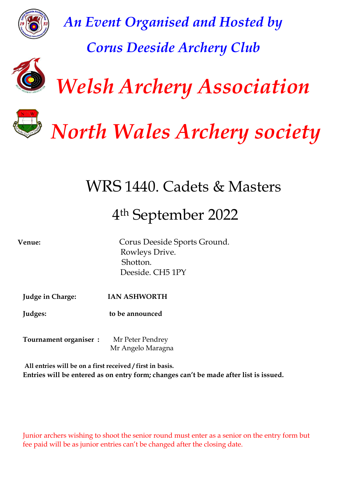

*An Event Organised and Hosted by Corus Deeside Archery Club*



 *Welsh Archery Association*



 *North Wales Archery society*

WRS 1440. Cadets & Masters

# 4 th September 2022

**Venue:** Corus Deeside Sports Ground. Rowleys Drive. Shotton. Deeside. CH5 1PY *Shotton.*<br>Deeside. CH5 1PY

**Judge in Charge: IAN ASHWORTH** 

**Judges: to be announced** 

**Tournament organiser :** Mr Peter Pendrey Mr Angelo Maragna

**All entries will be on a first received / first in basis. Entries will be entered as on entry form; changes can't be made after list is issued.**

Junior archers wishing to shoot the senior round must enter as a senior on the entry form but fee paid will be as junior entries can't be changed after the closing date.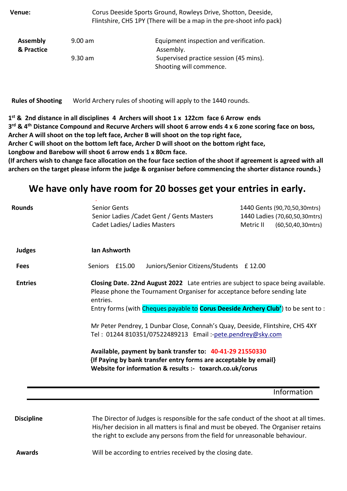| Venue:                        |           | Corus Deeside Sports Ground, Rowleys Drive, Shotton, Deeside,<br>Flintshire, CH5 1PY (There will be a map in the pre-shoot info pack) |
|-------------------------------|-----------|---------------------------------------------------------------------------------------------------------------------------------------|
| <b>Assembly</b><br>& Practice | $9.00$ am | Equipment inspection and verification.<br>Assembly.                                                                                   |
|                               | $9.30$ am | Supervised practice session (45 mins).<br>Shooting will commence.                                                                     |

 **Rules of Shooting** World Archery rules of shooting will apply to the 1440 rounds.

**1 st & 2nd distance in all disciplines 4 Archers will shoot 1 x 122cm face 6 Arrow ends 3 rd & 4th Distance Compound and Recurve Archers will shoot 6 arrow ends 4 x 6 zone scoring face on boss, Archer A will shoot on the top left face, Archer B will shoot on the top right face,** 

**Archer C will shoot on the bottom left face, Archer D will shoot on the bottom right face,** 

**Longbow and Barebow will shoot 6 arrow ends 1 x 80cm face.**

**(If archers wish to change face allocation on the four face section of the shoot if agreement is agreed with all archers on the target please inform the judge & organiser before commencing the shorter distance rounds.}**

# **We have only have room for 20 bosses get your entries in early.**

| <b>Rounds</b>     | <b>Senior Gents</b><br>1440 Gents (90,70,50,30mtrs)<br>Senior Ladies / Cadet Gent / Gents Masters<br>1440 Ladies (70,60,50,30mtrs)<br>Cadet Ladies/ Ladies Masters<br>Metric II<br>$(60, 50, 40, 30$ mtrs)                                                                                                                                                                                                                                                                                                                                                                                                       |  |  |  |  |  |
|-------------------|------------------------------------------------------------------------------------------------------------------------------------------------------------------------------------------------------------------------------------------------------------------------------------------------------------------------------------------------------------------------------------------------------------------------------------------------------------------------------------------------------------------------------------------------------------------------------------------------------------------|--|--|--|--|--|
| <b>Judges</b>     | lan Ashworth                                                                                                                                                                                                                                                                                                                                                                                                                                                                                                                                                                                                     |  |  |  |  |  |
| <b>Fees</b>       | Juniors/Senior Citizens/Students £12.00<br>Seniors £15.00                                                                                                                                                                                                                                                                                                                                                                                                                                                                                                                                                        |  |  |  |  |  |
| <b>Entries</b>    | Closing Date. 22nd August 2022 Late entries are subject to space being available.<br>Please phone the Tournament Organiser for acceptance before sending late<br>entries.<br>Entry forms (with Cheques payable to <b>Corus Deeside Archery Club'</b> ) to be sent to:<br>Mr Peter Pendrey, 1 Dunbar Close, Connah's Quay, Deeside, Flintshire, CH5 4XY<br>Tel: 01244 810351/07522489213 Email:-pete.pendrey@sky.com<br>Available, payment by bank transfer to: 40-41-29 21550330<br>{If Paying by bank transfer entry forms are acceptable by email}<br>Website for information & results :- toxarch.co.uk/corus |  |  |  |  |  |
|                   | Information                                                                                                                                                                                                                                                                                                                                                                                                                                                                                                                                                                                                      |  |  |  |  |  |
| <b>Discipline</b> | The Director of Judges is responsible for the safe conduct of the shoot at all times.<br>His/her decision in all matters is final and must be obeyed. The Organiser retains<br>the right to exclude any persons from the field for unreasonable behaviour.                                                                                                                                                                                                                                                                                                                                                       |  |  |  |  |  |
| <b>Awards</b>     | Will be according to entries received by the closing date.                                                                                                                                                                                                                                                                                                                                                                                                                                                                                                                                                       |  |  |  |  |  |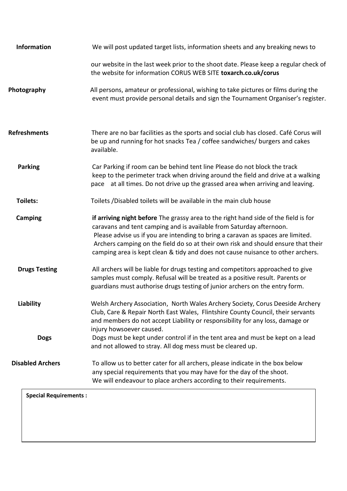| <b>Information</b>      | We will post updated target lists, information sheets and any breaking news to                                                                                                                                                                                                                                                                                                                                        |
|-------------------------|-----------------------------------------------------------------------------------------------------------------------------------------------------------------------------------------------------------------------------------------------------------------------------------------------------------------------------------------------------------------------------------------------------------------------|
|                         | our website in the last week prior to the shoot date. Please keep a regular check of<br>the website for information CORUS WEB SITE toxarch.co.uk/corus                                                                                                                                                                                                                                                                |
| Photography             | All persons, amateur or professional, wishing to take pictures or films during the<br>event must provide personal details and sign the Tournament Organiser's register.                                                                                                                                                                                                                                               |
| <b>Refreshments</b>     | There are no bar facilities as the sports and social club has closed. Café Corus will<br>be up and running for hot snacks Tea / coffee sandwiches/ burgers and cakes<br>available.                                                                                                                                                                                                                                    |
| <b>Parking</b>          | Car Parking if room can be behind tent line Please do not block the track<br>keep to the perimeter track when driving around the field and drive at a walking<br>pace at all times. Do not drive up the grassed area when arriving and leaving.                                                                                                                                                                       |
| Toilets:                | Toilets /Disabled toilets will be available in the main club house                                                                                                                                                                                                                                                                                                                                                    |
| <b>Camping</b>          | if arriving night before The grassy area to the right hand side of the field is for<br>caravans and tent camping and is available from Saturday afternoon.<br>Please advise us if you are intending to bring a caravan as spaces are limited.<br>Archers camping on the field do so at their own risk and should ensure that their<br>camping area is kept clean & tidy and does not cause nuisance to other archers. |
| <b>Drugs Testing</b>    | All archers will be liable for drugs testing and competitors approached to give<br>samples must comply. Refusal will be treated as a positive result. Parents or<br>guardians must authorise drugs testing of junior archers on the entry form.                                                                                                                                                                       |
| <b>Liability</b>        | Welsh Archery Association, North Wales Archery Society, Corus Deeside Archery<br>Club, Care & Repair North East Wales, Flintshire County Council, their servants<br>and members do not accept Liability or responsibility for any loss, damage or<br>injury howsoever caused.                                                                                                                                         |
| <b>Dogs</b>             | Dogs must be kept under control if in the tent area and must be kept on a lead<br>and not allowed to stray. All dog mess must be cleared up.                                                                                                                                                                                                                                                                          |
| <b>Disabled Archers</b> | To allow us to better cater for all archers, please indicate in the box below<br>any special requirements that you may have for the day of the shoot.<br>We will endeavour to place archers according to their requirements.                                                                                                                                                                                          |